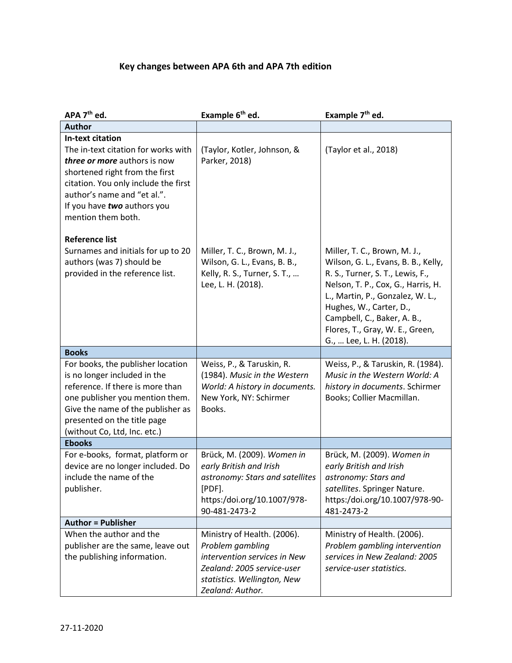## **[Key changes between APA 6th and APA 7th e](https://www.cite.auckland.ac.nz/2/files/apa_6th_vs_apa_7th_key_changes.pdf)dition**

| APA 7 <sup>th</sup> ed.                                                                                                                                                                                                                                      | Example 6 <sup>th</sup> ed.                                                                                                                                      | Example 7 <sup>th</sup> ed.                                                                                                                                                                                                                                                                               |
|--------------------------------------------------------------------------------------------------------------------------------------------------------------------------------------------------------------------------------------------------------------|------------------------------------------------------------------------------------------------------------------------------------------------------------------|-----------------------------------------------------------------------------------------------------------------------------------------------------------------------------------------------------------------------------------------------------------------------------------------------------------|
| <b>Author</b>                                                                                                                                                                                                                                                |                                                                                                                                                                  |                                                                                                                                                                                                                                                                                                           |
| <b>In-text citation</b><br>The in-text citation for works with<br>three or more authors is now<br>shortened right from the first<br>citation. You only include the first<br>author's name and "et al.".<br>If you have two authors you<br>mention them both. | (Taylor, Kotler, Johnson, &<br>Parker, 2018)                                                                                                                     | (Taylor et al., 2018)                                                                                                                                                                                                                                                                                     |
| <b>Reference list</b><br>Surnames and initials for up to 20<br>authors (was 7) should be<br>provided in the reference list.                                                                                                                                  | Miller, T. C., Brown, M. J.,<br>Wilson, G. L., Evans, B. B.,<br>Kelly, R. S., Turner, S. T.,<br>Lee, L. H. (2018).                                               | Miller, T. C., Brown, M. J.,<br>Wilson, G. L., Evans, B. B., Kelly,<br>R. S., Turner, S. T., Lewis, F.,<br>Nelson, T. P., Cox, G., Harris, H.<br>L., Martin, P., Gonzalez, W. L.,<br>Hughes, W., Carter, D.,<br>Campbell, C., Baker, A. B.,<br>Flores, T., Gray, W. E., Green,<br>G.,  Lee, L. H. (2018). |
| <b>Books</b>                                                                                                                                                                                                                                                 |                                                                                                                                                                  |                                                                                                                                                                                                                                                                                                           |
| For books, the publisher location<br>is no longer included in the<br>reference. If there is more than<br>one publisher you mention them.<br>Give the name of the publisher as<br>presented on the title page<br>(without Co, Ltd, Inc. etc.)                 | Weiss, P., & Taruskin, R.<br>(1984). Music in the Western<br>World: A history in documents.<br>New York, NY: Schirmer<br>Books.                                  | Weiss, P., & Taruskin, R. (1984).<br>Music in the Western World: A<br>history in documents. Schirmer<br>Books; Collier Macmillan.                                                                                                                                                                         |
| <b>Ebooks</b>                                                                                                                                                                                                                                                |                                                                                                                                                                  |                                                                                                                                                                                                                                                                                                           |
| For e-books, format, platform or<br>device are no longer included. Do<br>include the name of the<br>publisher.                                                                                                                                               | Brück, M. (2009). Women in<br>early British and Irish<br>astronomy: Stars and satellites<br>[PDF].<br>https:/doi.org/10.1007/978-<br>90-481-2473-2               | Brück, M. (2009). Women in<br>early British and Irish<br>astronomy: Stars and<br>satellites. Springer Nature.<br>https:/doi.org/10.1007/978-90-<br>481-2473-2                                                                                                                                             |
| <b>Author = Publisher</b>                                                                                                                                                                                                                                    |                                                                                                                                                                  |                                                                                                                                                                                                                                                                                                           |
| When the author and the<br>publisher are the same, leave out<br>the publishing information.                                                                                                                                                                  | Ministry of Health. (2006).<br>Problem gambling<br>intervention services in New<br>Zealand: 2005 service-user<br>statistics. Wellington, New<br>Zealand: Author. | Ministry of Health. (2006).<br>Problem gambling intervention<br>services in New Zealand: 2005<br>service-user statistics.                                                                                                                                                                                 |